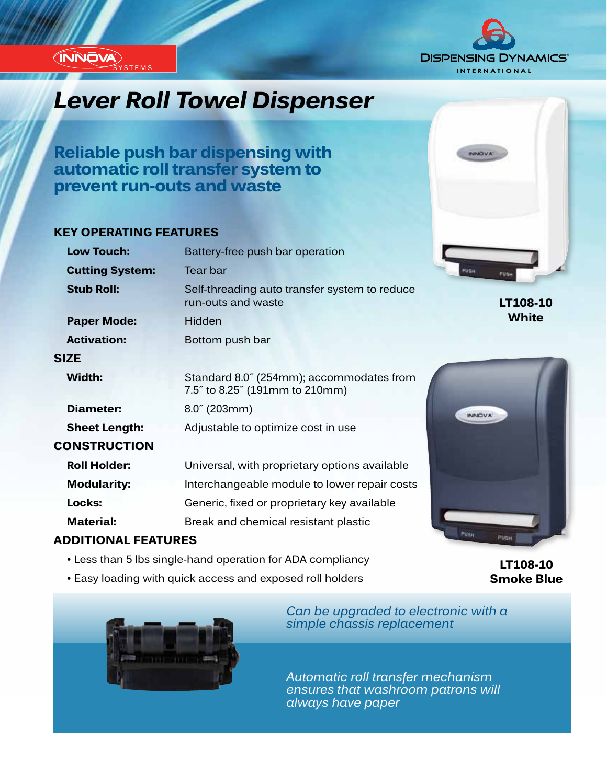

## *Innovation...Design...Solutions Lever Roll Towel Dispenser*

**Reliable push bar dispensing with automatic roll transfer system to prevent run-outs and waste**

#### **KEY OPERATING FEATURES**

 $\sqrt{S}$ TEMS

**(INNOVA)** 

| <b>Low Touch:</b>      | Battery-free push bar operation                                            |                            |
|------------------------|----------------------------------------------------------------------------|----------------------------|
| <b>Cutting System:</b> | Tear bar                                                                   | <b>PUSH</b><br><b>PUS+</b> |
| <b>Stub Roll:</b>      | Self-threading auto transfer system to reduce<br>run-outs and waste        | LT108-1                    |
| <b>Paper Mode:</b>     | Hidden                                                                     | <b>White</b>               |
| <b>Activation:</b>     | Bottom push bar                                                            |                            |
| <b>SIZE</b>            |                                                                            |                            |
| Width:                 | Standard 8.0" (254mm); accommodates from<br>7.5" to 8.25" (191mm to 210mm) |                            |
| Diameter:              | $8.0^{\circ}$ (203mm)                                                      |                            |
| <b>Sheet Length:</b>   | Adjustable to optimize cost in use                                         |                            |
| <b>CONSTRUCTION</b>    |                                                                            |                            |
| <b>Roll Holder:</b>    | Universal, with proprietary options available                              |                            |
| <b>Modularity:</b>     | Interchangeable module to lower repair costs                               |                            |
| Locks:                 | Generic, fixed or proprietary key available                                |                            |
| <b>Material:</b>       | Break and chemical resistant plastic                                       |                            |

#### **ADDITIONAL FEATURES**

- Less than 5 lbs single-hand operation for ADA compliancy
- Easy loading with quick access and exposed roll holders

**LT108-10**



*Can be upgraded to electronic with a simple chassis replacement*

*Automatic roll transfer mechanism ensures that washroom patrons will always have paper*



**LT108-10**

# **Smoke Blue**